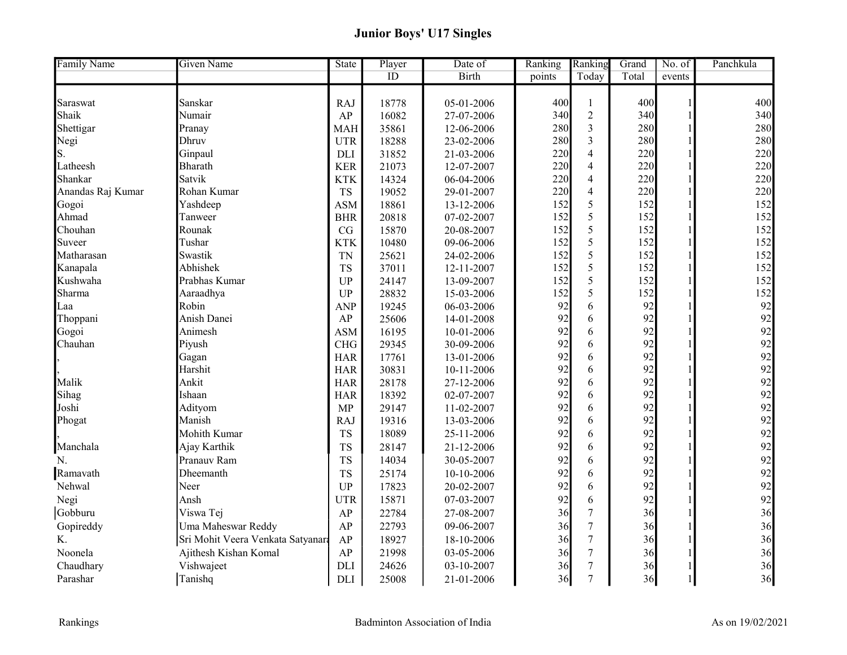## Junior Boys' U17 Singles

| <b>Family Name</b> | Given Name                        | <b>State</b> | Player | Date of      | Ranking | Ranking                 | Grand | No. of | Panchkula |
|--------------------|-----------------------------------|--------------|--------|--------------|---------|-------------------------|-------|--------|-----------|
|                    |                                   |              | ID     | <b>Birth</b> | points  | Today                   | Total | events |           |
|                    |                                   |              |        |              |         |                         |       |        |           |
| Saraswat           | Sanskar                           | <b>RAJ</b>   | 18778  | 05-01-2006   | 400     | 1                       | 400   |        | 400       |
| Shaik              | Numair                            | AP           | 16082  | 27-07-2006   | 340     | $\overline{c}$          | 340   |        | 340       |
| Shettigar          | Pranay                            | <b>MAH</b>   | 35861  | 12-06-2006   | 280     | $\overline{3}$          | 280   |        | 280       |
| Negi               | Dhruv                             | <b>UTR</b>   | 18288  | 23-02-2006   | 280     | $\overline{\mathbf{3}}$ | 280   |        | 280       |
| S.                 | Ginpaul                           | DLI          | 31852  | 21-03-2006   | 220     | $\overline{\mathbf{4}}$ | 220   |        | 220       |
| Latheesh           | Bharath                           | <b>KER</b>   | 21073  | 12-07-2007   | 220     | $\overline{\mathbf{4}}$ | 220   |        | 220       |
| Shankar            | Satvik                            | <b>KTK</b>   | 14324  | 06-04-2006   | 220     | $\overline{4}$          | 220   |        | 220       |
| Anandas Raj Kumar  | Rohan Kumar                       | <b>TS</b>    | 19052  | 29-01-2007   | 220     | $\overline{\mathbf{4}}$ | 220   |        | 220       |
| Gogoi              | Yashdeep                          | <b>ASM</b>   | 18861  | 13-12-2006   | 152     | 5                       | 152   |        | 152       |
| Ahmad              | Tanweer                           | <b>BHR</b>   | 20818  | 07-02-2007   | 152     | 5                       | 152   |        | 152       |
| Chouhan            | Rounak                            | CG           | 15870  | 20-08-2007   | 152     | 5                       | 152   |        | 152       |
| Suveer             | Tushar                            | <b>KTK</b>   | 10480  | 09-06-2006   | 152     | 5                       | 152   |        | 152       |
| Matharasan         | Swastik                           | <b>TN</b>    | 25621  | 24-02-2006   | 152     | 5                       | 152   |        | 152       |
| Kanapala           | Abhishek                          | <b>TS</b>    | 37011  | 12-11-2007   | 152     | 5                       | 152   |        | 152       |
| Kushwaha           | Prabhas Kumar                     | UP           | 24147  | 13-09-2007   | 152     | 5                       | 152   |        | 152       |
| Sharma             | Aaraadhya                         | UP           | 28832  | 15-03-2006   | 152     | 5                       | 152   |        | 152       |
| Laa                | Robin                             | <b>ANP</b>   | 19245  | 06-03-2006   | 92      | 6                       | 92    |        | 92        |
| Thoppani           | Anish Danei                       | AP           | 25606  | 14-01-2008   | 92      | 6                       | 92    |        | 92        |
| Gogoi              | Animesh                           | <b>ASM</b>   | 16195  | 10-01-2006   | 92      | 6                       | 92    |        | 92        |
| Chauhan            | Piyush                            | <b>CHG</b>   | 29345  | 30-09-2006   | 92      | 6                       | 92    |        | 92        |
|                    | Gagan                             | <b>HAR</b>   | 17761  | 13-01-2006   | 92      | 6                       | 92    |        | 92        |
|                    | Harshit                           | <b>HAR</b>   | 30831  | 10-11-2006   | 92      | 6                       | 92    |        | 92        |
| Malik              | Ankit                             | <b>HAR</b>   | 28178  | 27-12-2006   | 92      | 6                       | 92    |        | 92        |
| Sihag              | Ishaan                            | <b>HAR</b>   | 18392  | 02-07-2007   | 92      | 6                       | 92    |        | 92        |
| Joshi              | Adityom                           | <b>MP</b>    | 29147  | 11-02-2007   | 92      | 6                       | 92    |        | 92        |
| Phogat             | Manish                            | <b>RAJ</b>   | 19316  | 13-03-2006   | 92      | 6                       | 92    |        | 92        |
|                    | Mohith Kumar                      | <b>TS</b>    | 18089  | 25-11-2006   | 92      | 6                       | 92    |        | 92        |
| Manchala           | Ajay Karthik                      | <b>TS</b>    | 28147  | 21-12-2006   | 92      | 6                       | 92    |        | 92        |
| N.                 | Pranauv Ram                       | <b>TS</b>    | 14034  | 30-05-2007   | 92      | 6                       | 92    |        | 92        |
| Ramavath           | Dheemanth                         | <b>TS</b>    | 25174  | 10-10-2006   | 92      | 6                       | 92    |        | 92        |
| Nehwal             | Neer                              | <b>UP</b>    | 17823  | 20-02-2007   | 92      | 6                       | 92    |        | 92        |
| Negi               | Ansh                              | <b>UTR</b>   | 15871  | 07-03-2007   | 92      | 6                       | 92    |        | 92        |
| Gobburu            | Viswa Tej                         | AP           | 22784  | 27-08-2007   | 36      | $\overline{7}$          | 36    |        | 36        |
| Gopireddy          | Uma Maheswar Reddy                | AP           | 22793  | 09-06-2007   | 36      | $\overline{7}$          | 36    |        | 36        |
| K.                 | Sri Mohit Veera Venkata Satyanara | AP           | 18927  | 18-10-2006   | 36      | $\overline{7}$          | 36    |        | 36        |
| Noonela            | Ajithesh Kishan Komal             | AP           | 21998  | 03-05-2006   | 36      | $\overline{7}$          | 36    |        | 36        |
| Chaudhary          | Vishwajeet                        | <b>DLI</b>   | 24626  | 03-10-2007   | 36      | $\overline{7}$          | 36    |        | 36        |
| Parashar           | Tanishq                           | DLI          | 25008  | 21-01-2006   | 36      | $\overline{7}$          | 36    |        | 36        |